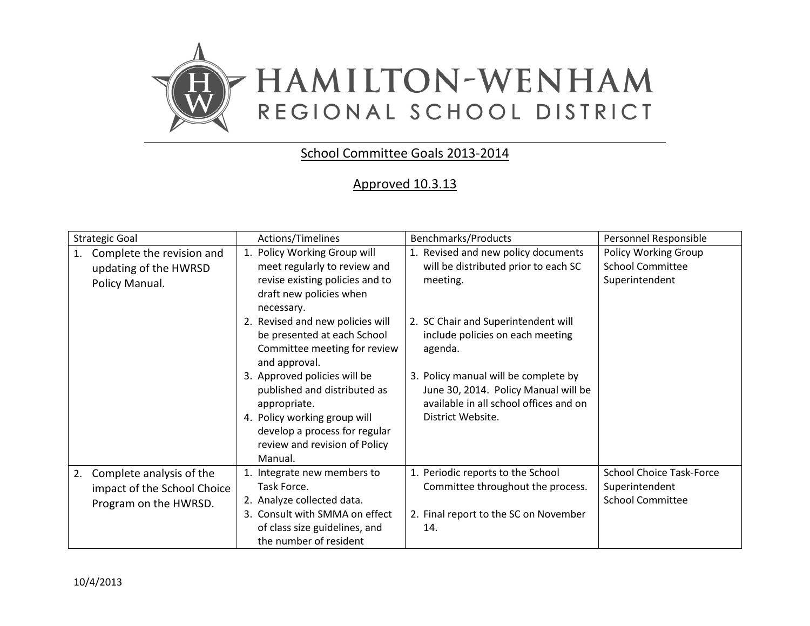

## School Committee Goals 2013-2014

## Approved 10.3.13

| 1. Policy Working Group will                                                                                                                  | 1. Revised and new policy documents                                                                                                         |                                                                              |
|-----------------------------------------------------------------------------------------------------------------------------------------------|---------------------------------------------------------------------------------------------------------------------------------------------|------------------------------------------------------------------------------|
| meet regularly to review and<br>revise existing policies and to<br>draft new policies when<br>necessary.                                      | will be distributed prior to each SC<br>meeting.                                                                                            | Policy Working Group<br><b>School Committee</b><br>Superintendent            |
| 2. Revised and new policies will<br>be presented at each School<br>Committee meeting for review<br>and approval.                              | 2. SC Chair and Superintendent will<br>include policies on each meeting<br>agenda.                                                          |                                                                              |
| 3. Approved policies will be<br>published and distributed as<br>appropriate.<br>4. Policy working group will<br>develop a process for regular | 3. Policy manual will be complete by<br>June 30, 2014. Policy Manual will be<br>available in all school offices and on<br>District Website. |                                                                              |
| review and revision of Policy<br>Manual.                                                                                                      |                                                                                                                                             |                                                                              |
| 1. Integrate new members to<br>Task Force.<br>2. Analyze collected data.<br>3. Consult with SMMA on effect<br>of class size guidelines, and   | 1. Periodic reports to the School<br>Committee throughout the process.<br>2. Final report to the SC on November<br>14.                      | <b>School Choice Task-Force</b><br>Superintendent<br><b>School Committee</b> |
|                                                                                                                                               | the number of resident                                                                                                                      |                                                                              |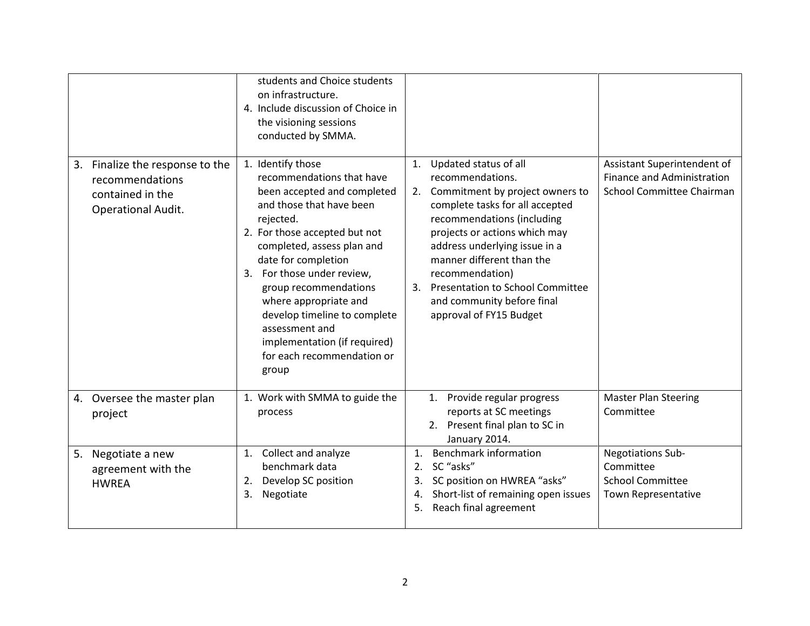|                                                                                                 | students and Choice students<br>on infrastructure.<br>4. Include discussion of Choice in<br>the visioning sessions<br>conducted by SMMA.                                                                                                                                                                                                                                                                              |                                                                                                                                                                                                                                                                                                                                                                                                  |                                                                                               |
|-------------------------------------------------------------------------------------------------|-----------------------------------------------------------------------------------------------------------------------------------------------------------------------------------------------------------------------------------------------------------------------------------------------------------------------------------------------------------------------------------------------------------------------|--------------------------------------------------------------------------------------------------------------------------------------------------------------------------------------------------------------------------------------------------------------------------------------------------------------------------------------------------------------------------------------------------|-----------------------------------------------------------------------------------------------|
| Finalize the response to the<br>3.<br>recommendations<br>contained in the<br>Operational Audit. | 1. Identify those<br>recommendations that have<br>been accepted and completed<br>and those that have been<br>rejected.<br>2. For those accepted but not<br>completed, assess plan and<br>date for completion<br>3. For those under review,<br>group recommendations<br>where appropriate and<br>develop timeline to complete<br>assessment and<br>implementation (if required)<br>for each recommendation or<br>group | Updated status of all<br>1.<br>recommendations.<br>2. Commitment by project owners to<br>complete tasks for all accepted<br>recommendations (including<br>projects or actions which may<br>address underlying issue in a<br>manner different than the<br>recommendation)<br><b>Presentation to School Committee</b><br>$\overline{3}$ .<br>and community before final<br>approval of FY15 Budget | Assistant Superintendent of<br>Finance and Administration<br><b>School Committee Chairman</b> |
| Oversee the master plan<br>4.<br>project                                                        | 1. Work with SMMA to guide the<br>process                                                                                                                                                                                                                                                                                                                                                                             | Provide regular progress<br>1.<br>reports at SC meetings<br>2. Present final plan to SC in<br>January 2014.                                                                                                                                                                                                                                                                                      | <b>Master Plan Steering</b><br>Committee                                                      |
| Negotiate a new<br>5.<br>agreement with the<br><b>HWREA</b>                                     | Collect and analyze<br>1.<br>benchmark data<br>Develop SC position<br>2.<br>Negotiate<br>3.                                                                                                                                                                                                                                                                                                                           | <b>Benchmark information</b><br>1.<br>SC "asks"<br>2.<br>SC position on HWREA "asks"<br>3.<br>Short-list of remaining open issues<br>4.<br>Reach final agreement<br>5.                                                                                                                                                                                                                           | Negotiations Sub-<br>Committee<br><b>School Committee</b><br>Town Representative              |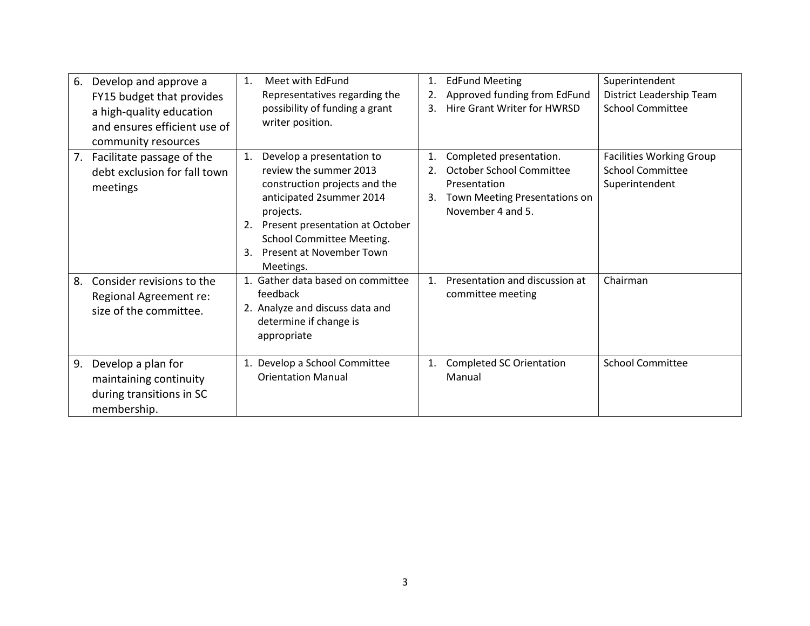| 6. | Develop and approve a<br>FY15 budget that provides<br>a high-quality education<br>and ensures efficient use of<br>community resources | Meet with EdFund<br>1.<br>Representatives regarding the<br>possibility of funding a grant<br>writer position.                                                                                                                                            | 1.<br>2.<br>3. | <b>EdFund Meeting</b><br>Approved funding from EdFund<br><b>Hire Grant Writer for HWRSD</b>                                      | Superintendent<br>District Leadership Team<br><b>School Committee</b>        |
|----|---------------------------------------------------------------------------------------------------------------------------------------|----------------------------------------------------------------------------------------------------------------------------------------------------------------------------------------------------------------------------------------------------------|----------------|----------------------------------------------------------------------------------------------------------------------------------|------------------------------------------------------------------------------|
| 7. | Facilitate passage of the<br>debt exclusion for fall town<br>meetings                                                                 | Develop a presentation to<br>1.<br>review the summer 2013<br>construction projects and the<br>anticipated 2summer 2014<br>projects.<br>Present presentation at October<br>2.<br>School Committee Meeting.<br>Present at November Town<br>3.<br>Meetings. | 1.<br>2.<br>3. | Completed presentation.<br><b>October School Committee</b><br>Presentation<br>Town Meeting Presentations on<br>November 4 and 5. | <b>Facilities Working Group</b><br><b>School Committee</b><br>Superintendent |
| 8. | Consider revisions to the<br>Regional Agreement re:<br>size of the committee.                                                         | 1. Gather data based on committee<br>feedback<br>2. Analyze and discuss data and<br>determine if change is<br>appropriate                                                                                                                                | $\mathbf{1}$ . | Presentation and discussion at<br>committee meeting                                                                              | Chairman                                                                     |
| 9. | Develop a plan for<br>maintaining continuity<br>during transitions in SC<br>membership.                                               | 1. Develop a School Committee<br><b>Orientation Manual</b>                                                                                                                                                                                               | 1.             | <b>Completed SC Orientation</b><br>Manual                                                                                        | <b>School Committee</b>                                                      |